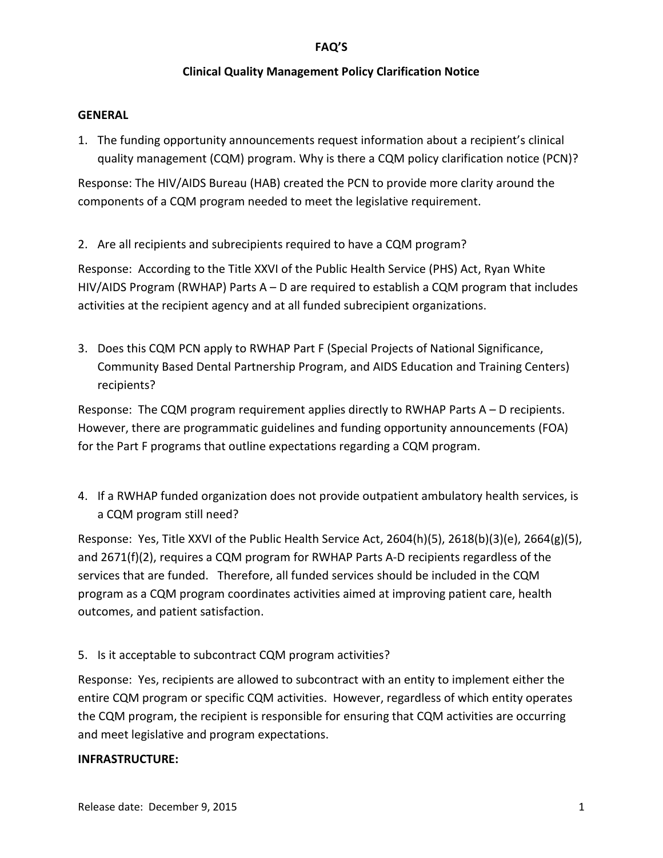## **Clinical Quality Management Policy Clarification Notice**

#### **GENERAL**

1. The funding opportunity announcements request information about a recipient's clinical quality management (CQM) program. Why is there a CQM policy clarification notice (PCN)?

Response: The HIV/AIDS Bureau (HAB) created the PCN to provide more clarity around the components of a CQM program needed to meet the legislative requirement.

2. Are all recipients and subrecipients required to have a CQM program?

Response: According to the Title XXVI of the Public Health Service (PHS) Act, Ryan White HIV/AIDS Program (RWHAP) Parts A – D are required to establish a CQM program that includes activities at the recipient agency and at all funded subrecipient organizations.

3. Does this CQM PCN apply to RWHAP Part F (Special Projects of National Significance, Community Based Dental Partnership Program, and AIDS Education and Training Centers) recipients?

Response: The CQM program requirement applies directly to RWHAP Parts A – D recipients. However, there are programmatic guidelines and funding opportunity announcements (FOA) for the Part F programs that outline expectations regarding a CQM program.

4. If a RWHAP funded organization does not provide outpatient ambulatory health services, is a CQM program still need?

Response: Yes, Title XXVI of the Public Health Service Act, 2604(h)(5), 2618(b)(3)(e), 2664(g)(5), and 2671(f)(2), requires a CQM program for RWHAP Parts A-D recipients regardless of the services that are funded. Therefore, all funded services should be included in the CQM program as a CQM program coordinates activities aimed at improving patient care, health outcomes, and patient satisfaction.

5. Is it acceptable to subcontract CQM program activities?

Response: Yes, recipients are allowed to subcontract with an entity to implement either the entire CQM program or specific CQM activities. However, regardless of which entity operates the CQM program, the recipient is responsible for ensuring that CQM activities are occurring and meet legislative and program expectations.

#### **INFRASTRUCTURE:**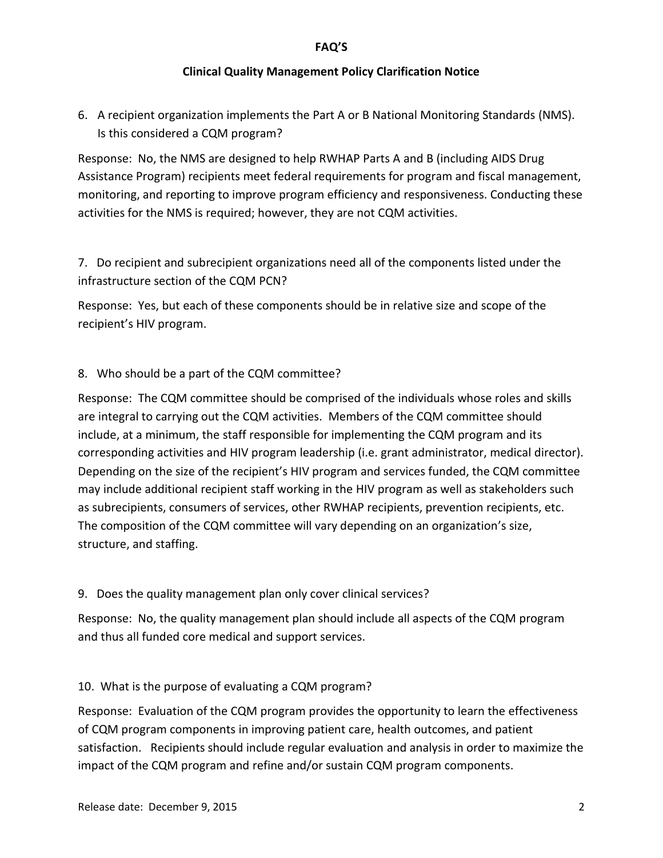# **Clinical Quality Management Policy Clarification Notice**

6. A recipient organization implements the Part A or B National Monitoring Standards (NMS). Is this considered a CQM program?

Response: No, the NMS are designed to help RWHAP Parts A and B (including AIDS Drug Assistance Program) recipients meet federal requirements for program and fiscal management, monitoring, and reporting to improve program efficiency and responsiveness. Conducting these activities for the NMS is required; however, they are not CQM activities.

7. Do recipient and subrecipient organizations need all of the components listed under the infrastructure section of the CQM PCN?

Response: Yes, but each of these components should be in relative size and scope of the recipient's HIV program.

# 8. Who should be a part of the CQM committee?

Response: The CQM committee should be comprised of the individuals whose roles and skills are integral to carrying out the CQM activities. Members of the CQM committee should include, at a minimum, the staff responsible for implementing the CQM program and its corresponding activities and HIV program leadership (i.e. grant administrator, medical director). Depending on the size of the recipient's HIV program and services funded, the CQM committee may include additional recipient staff working in the HIV program as well as stakeholders such as subrecipients, consumers of services, other RWHAP recipients, prevention recipients, etc. The composition of the CQM committee will vary depending on an organization's size, structure, and staffing.

# 9. Does the quality management plan only cover clinical services?

Response: No, the quality management plan should include all aspects of the CQM program and thus all funded core medical and support services.

# 10. What is the purpose of evaluating a CQM program?

Response: Evaluation of the CQM program provides the opportunity to learn the effectiveness of CQM program components in improving patient care, health outcomes, and patient satisfaction. Recipients should include regular evaluation and analysis in order to maximize the impact of the CQM program and refine and/or sustain CQM program components.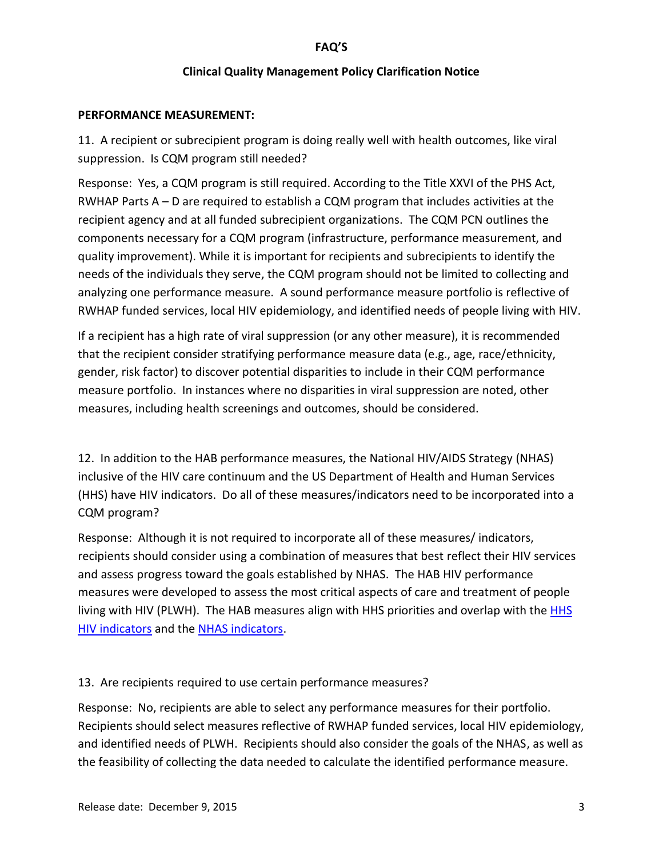## **Clinical Quality Management Policy Clarification Notice**

#### **PERFORMANCE MEASUREMENT:**

11. A recipient or subrecipient program is doing really well with health outcomes, like viral suppression. Is CQM program still needed?

Response: Yes, a CQM program is still required. According to the Title XXVI of the PHS Act, RWHAP Parts A – D are required to establish a CQM program that includes activities at the recipient agency and at all funded subrecipient organizations. The CQM PCN outlines the components necessary for a CQM program (infrastructure, performance measurement, and quality improvement). While it is important for recipients and subrecipients to identify the needs of the individuals they serve, the CQM program should not be limited to collecting and analyzing one performance measure. A sound performance measure portfolio is reflective of RWHAP funded services, local HIV epidemiology, and identified needs of people living with HIV.

If a recipient has a high rate of viral suppression (or any other measure), it is recommended that the recipient consider stratifying performance measure data (e.g., age, race/ethnicity, gender, risk factor) to discover potential disparities to include in their CQM performance measure portfolio. In instances where no disparities in viral suppression are noted, other measures, including health screenings and outcomes, should be considered.

12. In addition to the HAB performance measures, the National HIV/AIDS Strategy (NHAS) inclusive of the HIV care continuum and the US Department of Health and Human Services (HHS) have HIV indicators. Do all of these measures/indicators need to be incorporated into a CQM program?

Response: Although it is not required to incorporate all of these measures/ indicators, recipients should consider using a combination of measures that best reflect their HIV services and assess progress toward the goals established by NHAS. The HAB HIV performance measures were developed to assess the most critical aspects of care and treatment of people living with HIV (PLWH). The HAB measures align with [HHS](https://www.aids.gov/pdf/hhs-common-hiv-indicators.pdf) priorities and overlap with the HHS [HIV indicators](https://www.aids.gov/pdf/hhs-common-hiv-indicators.pdf) and the [NHAS indicators.](https://www.aids.gov/federal-resources/national-hiv-aids-strategy/nhas-update-indicators-at-a-glance.pdf)

## 13. Are recipients required to use certain performance measures?

Response: No, recipients are able to select any performance measures for their portfolio. Recipients should select measures reflective of RWHAP funded services, local HIV epidemiology, and identified needs of PLWH. Recipients should also consider the goals of the NHAS, as well as the feasibility of collecting the data needed to calculate the identified performance measure.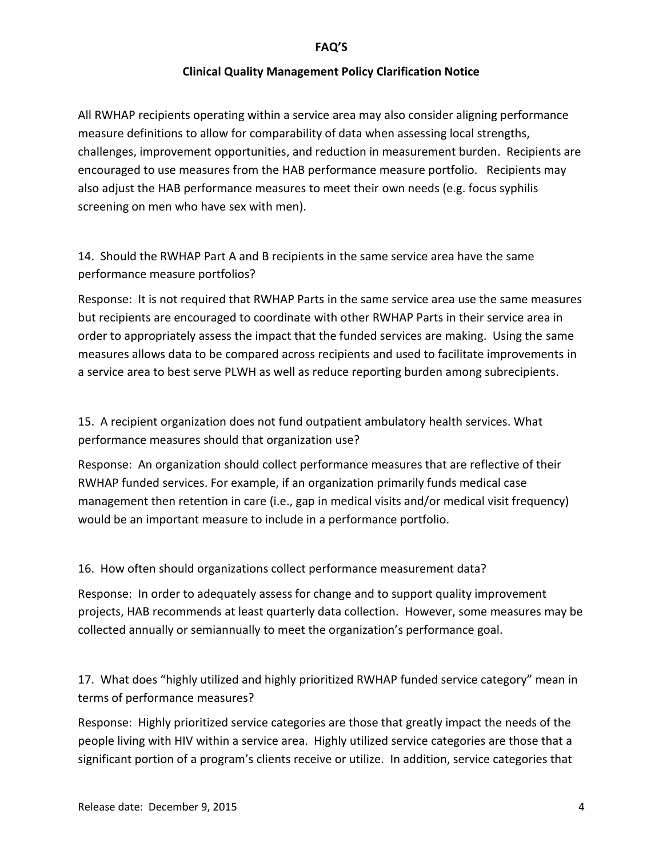## **Clinical Quality Management Policy Clarification Notice**

All RWHAP recipients operating within a service area may also consider aligning performance measure definitions to allow for comparability of data when assessing local strengths, challenges, improvement opportunities, and reduction in measurement burden. Recipients are encouraged to use measures from the HAB performance measure portfolio. Recipients may also adjust the HAB performance measures to meet their own needs (e.g. focus syphilis screening on men who have sex with men).

14. Should the RWHAP Part A and B recipients in the same service area have the same performance measure portfolios?

Response: It is not required that RWHAP Parts in the same service area use the same measures but recipients are encouraged to coordinate with other RWHAP Parts in their service area in order to appropriately assess the impact that the funded services are making. Using the same measures allows data to be compared across recipients and used to facilitate improvements in a service area to best serve PLWH as well as reduce reporting burden among subrecipients.

15. A recipient organization does not fund outpatient ambulatory health services. What performance measures should that organization use?

Response: An organization should collect performance measures that are reflective of their RWHAP funded services. For example, if an organization primarily funds medical case management then retention in care (i.e., gap in medical visits and/or medical visit frequency) would be an important measure to include in a performance portfolio.

16. How often should organizations collect performance measurement data?

Response: In order to adequately assess for change and to support quality improvement projects, HAB recommends at least quarterly data collection. However, some measures may be collected annually or semiannually to meet the organization's performance goal.

17. What does "highly utilized and highly prioritized RWHAP funded service category" mean in terms of performance measures?

Response: Highly prioritized service categories are those that greatly impact the needs of the people living with HIV within a service area. Highly utilized service categories are those that a significant portion of a program's clients receive or utilize. In addition, service categories that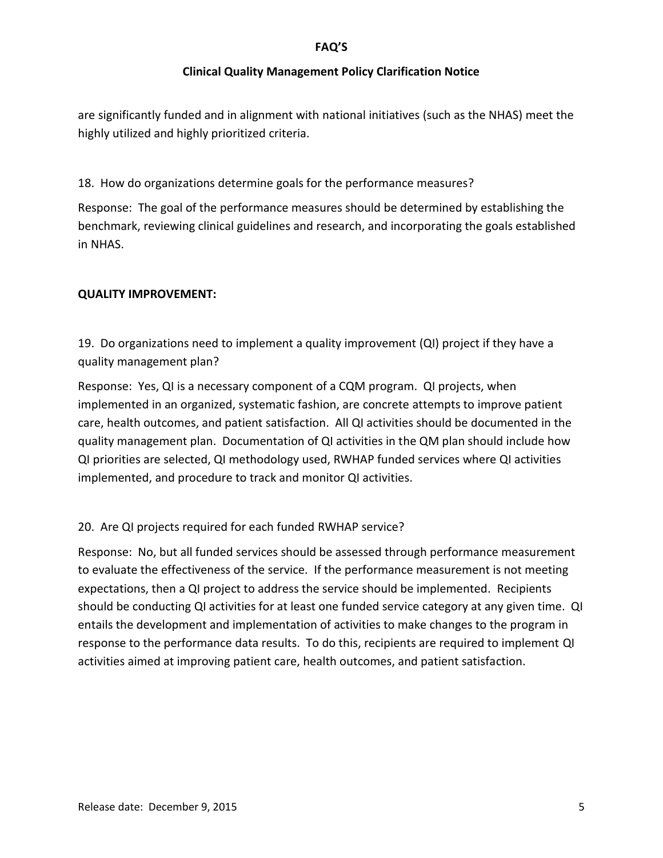## **Clinical Quality Management Policy Clarification Notice**

are significantly funded and in alignment with national initiatives (such as the NHAS) meet the highly utilized and highly prioritized criteria.

18. How do organizations determine goals for the performance measures?

Response: The goal of the performance measures should be determined by establishing the benchmark, reviewing clinical guidelines and research, and incorporating the goals established in NHAS.

## **QUALITY IMPROVEMENT:**

19. Do organizations need to implement a quality improvement (QI) project if they have a quality management plan?

Response: Yes, QI is a necessary component of a CQM program. QI projects, when implemented in an organized, systematic fashion, are concrete attempts to improve patient care, health outcomes, and patient satisfaction. All QI activities should be documented in the quality management plan. Documentation of QI activities in the QM plan should include how QI priorities are selected, QI methodology used, RWHAP funded services where QI activities implemented, and procedure to track and monitor QI activities.

# 20. Are QI projects required for each funded RWHAP service?

Response: No, but all funded services should be assessed through performance measurement to evaluate the effectiveness of the service. If the performance measurement is not meeting expectations, then a QI project to address the service should be implemented. Recipients should be conducting QI activities for at least one funded service category at any given time. QI entails the development and implementation of activities to make changes to the program in response to the performance data results. To do this, recipients are required to implement QI activities aimed at improving patient care, health outcomes, and patient satisfaction.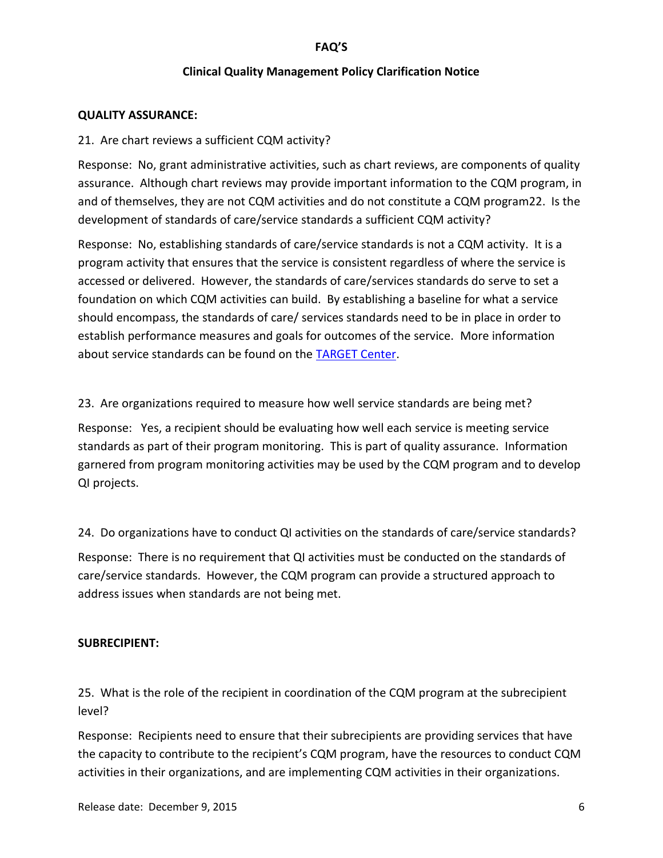### **Clinical Quality Management Policy Clarification Notice**

### **QUALITY ASSURANCE:**

### 21. Are chart reviews a sufficient CQM activity?

Response: No, grant administrative activities, such as chart reviews, are components of quality assurance. Although chart reviews may provide important information to the CQM program, in and of themselves, they are not CQM activities and do not constitute a CQM program22. Is the development of standards of care/service standards a sufficient CQM activity?

Response: No, establishing standards of care/service standards is not a CQM activity. It is a program activity that ensures that the service is consistent regardless of where the service is accessed or delivered. However, the standards of care/services standards do serve to set a foundation on which CQM activities can build. By establishing a baseline for what a service should encompass, the standards of care/ services standards need to be in place in order to establish performance measures and goals for outcomes of the service. More information about service standards can be found on the [TARGET Center.](https://careacttarget.org/library/service-standards-guidance-ryan-white-hivaids-program-granteesplanning-bodies)

23. Are organizations required to measure how well service standards are being met?

Response: Yes, a recipient should be evaluating how well each service is meeting service standards as part of their program monitoring. This is part of quality assurance. Information garnered from program monitoring activities may be used by the CQM program and to develop QI projects.

24. Do organizations have to conduct QI activities on the standards of care/service standards?

Response: There is no requirement that QI activities must be conducted on the standards of care/service standards. However, the CQM program can provide a structured approach to address issues when standards are not being met.

#### **SUBRECIPIENT:**

25. What is the role of the recipient in coordination of the CQM program at the subrecipient level?

Response: Recipients need to ensure that their subrecipients are providing services that have the capacity to contribute to the recipient's CQM program, have the resources to conduct CQM activities in their organizations, and are implementing CQM activities in their organizations.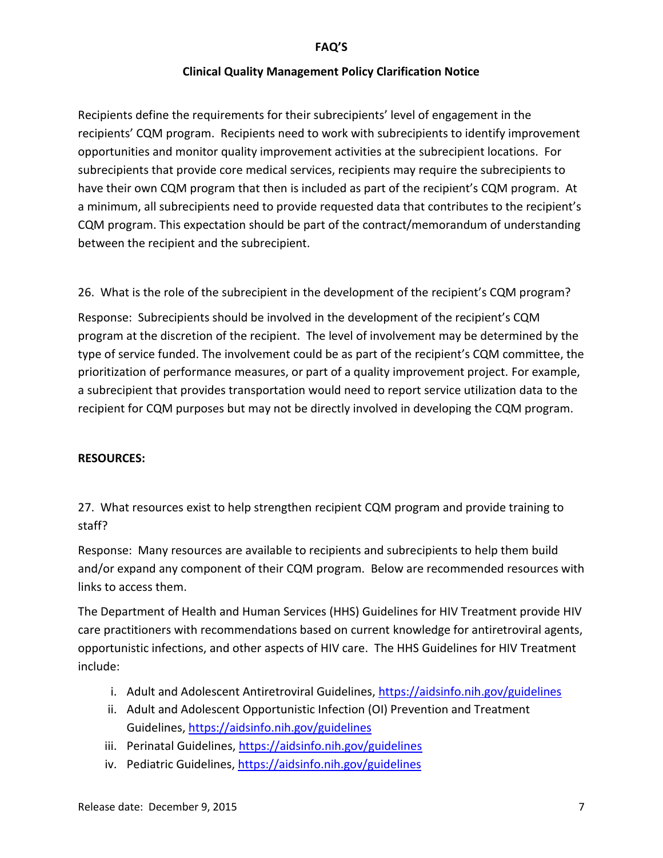## **Clinical Quality Management Policy Clarification Notice**

Recipients define the requirements for their subrecipients' level of engagement in the recipients' CQM program. Recipients need to work with subrecipients to identify improvement opportunities and monitor quality improvement activities at the subrecipient locations. For subrecipients that provide core medical services, recipients may require the subrecipients to have their own CQM program that then is included as part of the recipient's CQM program. At a minimum, all subrecipients need to provide requested data that contributes to the recipient's CQM program. This expectation should be part of the contract/memorandum of understanding between the recipient and the subrecipient.

26. What is the role of the subrecipient in the development of the recipient's CQM program?

Response: Subrecipients should be involved in the development of the recipient's CQM program at the discretion of the recipient. The level of involvement may be determined by the type of service funded. The involvement could be as part of the recipient's CQM committee, the prioritization of performance measures, or part of a quality improvement project. For example, a subrecipient that provides transportation would need to report service utilization data to the recipient for CQM purposes but may not be directly involved in developing the CQM program.

## **RESOURCES:**

27. What resources exist to help strengthen recipient CQM program and provide training to staff?

Response: Many resources are available to recipients and subrecipients to help them build and/or expand any component of their CQM program. Below are recommended resources with links to access them.

The Department of Health and Human Services (HHS) Guidelines for HIV Treatment provide HIV care practitioners with recommendations based on current knowledge for antiretroviral agents, opportunistic infections, and other aspects of HIV care. The HHS Guidelines for HIV Treatment include:

- i. Adult and Adolescent Antiretroviral Guidelines,<https://aidsinfo.nih.gov/guidelines>
- ii. Adult and Adolescent Opportunistic Infection (OI) Prevention and Treatment Guidelines,<https://aidsinfo.nih.gov/guidelines>
- iii. Perinatal Guidelines,<https://aidsinfo.nih.gov/guidelines>
- iv. Pediatric Guidelines,<https://aidsinfo.nih.gov/guidelines>